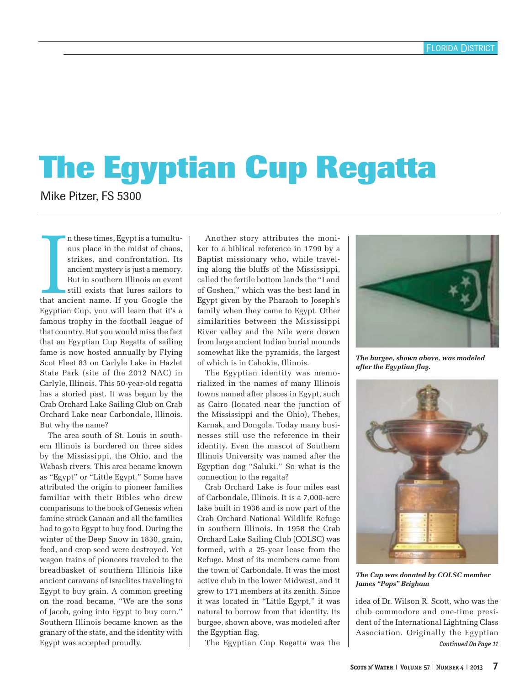## **The Egyptian Cup Regatta**

Mike Pitzer, FS 5300

In these times, Egypt is a tumultu-<br>ous place in the midst of chaos,<br>strikes, and confrontation. Its<br>ancient mystery is just a memory.<br>But in southern Illinois an event<br>still exists that lures sailors to<br>that ancient name. n these times, Egypt is a tumultuous place in the midst of chaos, strikes, and confrontation. Its ancient mystery is just a memory. But in southern Illinois an event still exists that lures sailors to Egyptian Cup, you will learn that it's a famous trophy in the football league of that country. But you would miss the fact that an Egyptian Cup Regatta of sailing fame is now hosted annually by Flying Scot Fleet 83 on Carlyle Lake in Hazlet State Park (site of the 2012 NAC) in Carlyle, Illinois. This 50-year-old regatta has a storied past. It was begun by the Crab Orchard Lake Sailing Club on Crab Orchard Lake near Carbondale, Illinois. But why the name?

The area south of St. Louis in southern Illinois is bordered on three sides by the Mississippi, the Ohio, and the Wabash rivers. This area became known as "Egypt" or "Little Egypt." Some have attributed the origin to pioneer families familiar with their Bibles who drew comparisons to the book of Genesis when famine struck Canaan and all the families had to go to Egypt to buy food. During the winter of the Deep Snow in 1830, grain, feed, and crop seed were destroyed. Yet wagon trains of pioneers traveled to the breadbasket of southern Illinois like ancient caravans of Israelites traveling to Egypt to buy grain. A common greeting on the road became, "We are the sons of Jacob, going into Egypt to buy corn." Southern Illinois became known as the granary of the state, and the identity with Egypt was accepted proudly.

Another story attributes the moniker to a biblical reference in 1799 by a Baptist missionary who, while traveling along the bluffs of the Mississippi, called the fertile bottom lands the "Land of Goshen," which was the best land in Egypt given by the Pharaoh to Joseph's family when they came to Egypt. Other similarities between the Mississippi River valley and the Nile were drawn from large ancient Indian burial mounds somewhat like the pyramids, the largest of which is in Cahokia, Illinois.

The Egyptian identity was memorialized in the names of many Illinois towns named after places in Egypt, such as Cairo (located near the junction of the Mississippi and the Ohio), Thebes, Karnak, and Dongola. Today many businesses still use the reference in their identity. Even the mascot of Southern Illinois University was named after the Egyptian dog "Saluki." So what is the connection to the regatta?

Crab Orchard Lake is four miles east of Carbondale, Illinois. It is a 7,000-acre lake built in 1936 and is now part of the Crab Orchard National Wildlife Refuge in southern Illinois. In 1958 the Crab Orchard Lake Sailing Club (COLSC) was formed, with a 25-year lease from the Refuge. Most of its members came from the town of Carbondale. It was the most active club in the lower Midwest, and it grew to 171 members at its zenith. Since it was located in "Little Egypt," it was natural to borrow from that identity. Its burgee, shown above, was modeled after the Egyptian flag.

The Egyptian Cup Regatta was the



*The burgee, shown above, was modeled after the Egyptian flag.*



*The Cup was donated by COLSC member James "Pops" Brigham*

*Continued On Page 11* idea of Dr. Wilson R. Scott, who was the club commodore and one-time president of the International Lightning Class Association. Originally the Egyptian